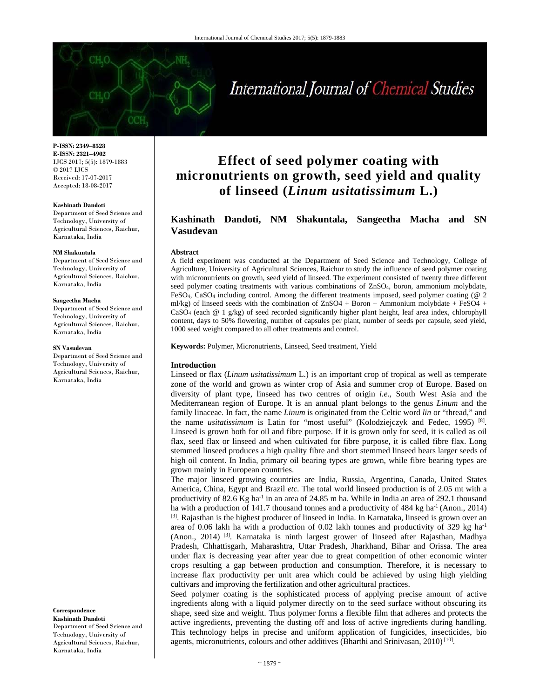#### **P-ISSN: 2349–8528 E-ISSN: 2321–4902**  IJCS 2017; 5(5): 1879-1883 © 2017 IJCS Received: 17-07-2017 Accepted: 18-08-2017

#### **Kashinath Dandoti**

Department of Seed Science and Technology, University of Agricultural Sciences, Raichur, Karnataka, India

#### **NM Shakuntala**

Department of Seed Science and Technology, University of Agricultural Sciences, Raichur, Karnataka, India

#### **Sangeetha Macha**

Department of Seed Science and Technology, University of Agricultural Sciences, Raichur, Karnataka, India

#### **SN Vasudevan**

Department of Seed Science and Technology, University of Agricultural Sciences, Raichur, Karnataka, India

**Correspondence** 

**Kashinath Dandoti**  Department of Seed Science and Technology, University of Agricultural Sciences, Raichur, Karnataka, India

# **Effect of seed polymer coating with micronutrients on growth, seed yield and quality of linseed (***Linum usitatissimum* **L.)**

# **Kashinath Dandoti, NM Shakuntala, Sangeetha Macha and SN Vasudevan**

## **Abstract**

A field experiment was conducted at the Department of Seed Science and Technology, College of Agriculture, University of Agricultural Sciences, Raichur to study the influence of seed polymer coating with micronutrients on growth, seed yield of linseed. The experiment consisted of twenty three different seed polymer coating treatments with various combinations of ZnSO4, boron, ammonium molybdate, FeSO4, CaSO4 including control. Among the different treatments imposed, seed polymer coating (@ 2 ml/kg) of linseed seeds with the combination of  $ZnSO4 + Boron + Ammonium$  molybdate + FeSO4 +  $CaSO<sub>4</sub>$  (each  $@1 g/kg$ ) of seed recorded significantly higher plant height, leaf area index, chlorophyll content, days to 50% flowering, number of capsules per plant, number of seeds per capsule, seed yield, 1000 seed weight compared to all other treatments and control.

**Keywords:** Polymer, Micronutrients, Linseed, Seed treatment, Yield

#### **Introduction**

Linseed or flax (*Linum usitatissimum* L.) is an important crop of tropical as well as temperate zone of the world and grown as winter crop of Asia and summer crop of Europe. Based on diversity of plant type, linseed has two centres of origin *i.e.,* South West Asia and the Mediterranean region of Europe. It is an annual plant belongs to the genus *Linum* and the family linaceae. In fact, the name *Linum* is originated from the Celtic word *lin* or "thread," and the name *usitatissimum* is Latin for "most useful" (Kolodziejczyk and Fedec, 1995)<sup>[8]</sup>. Linseed is grown both for oil and fibre purpose. If it is grown only for seed, it is called as oil flax, seed flax or linseed and when cultivated for fibre purpose, it is called fibre flax. Long stemmed linseed produces a high quality fibre and short stemmed linseed bears larger seeds of high oil content. In India, primary oil bearing types are grown, while fibre bearing types are grown mainly in European countries.

The major linseed growing countries are India, Russia, Argentina, Canada, United States America, China, Egypt and Brazil *etc.* The total world linseed production is of 2.05 mt with a productivity of 82.6 Kg ha<sup>-1</sup> in an area of 24.85 m ha. While in India an area of 292.1 thousand ha with a production of 141.7 thousand tonnes and a productivity of 484 kg ha<sup>-1</sup> (Anon., 2014) <sup>[3]</sup>. Rajasthan is the highest producer of linseed in India. In Karnataka, linseed is grown over an area of 0.06 lakh ha with a production of 0.02 lakh tonnes and productivity of 329 kg  $ha^{-1}$ (Anon., 2014) [3]. Karnataka is ninth largest grower of linseed after Rajasthan, Madhya Pradesh, Chhattisgarh, Maharashtra, Uttar Pradesh, Jharkhand, Bihar and Orissa. The area under flax is decreasing year after year due to great competition of other economic winter crops resulting a gap between production and consumption. Therefore, it is necessary to increase flax productivity per unit area which could be achieved by using high yielding cultivars and improving the fertilization and other agricultural practices.

Seed polymer coating is the sophisticated process of applying precise amount of active ingredients along with a liquid polymer directly on to the seed surface without obscuring its shape, seed size and weight. Thus polymer forms a flexible film that adheres and protects the active ingredients, preventing the dusting off and loss of active ingredients during handling. This technology helps in precise and uniform application of fungicides, insecticides, bio agents, micronutrients, colours and other additives (Bharthi and Srinivasan, 2010)<sup>[10]</sup>.

# International Journal of Chemical Studies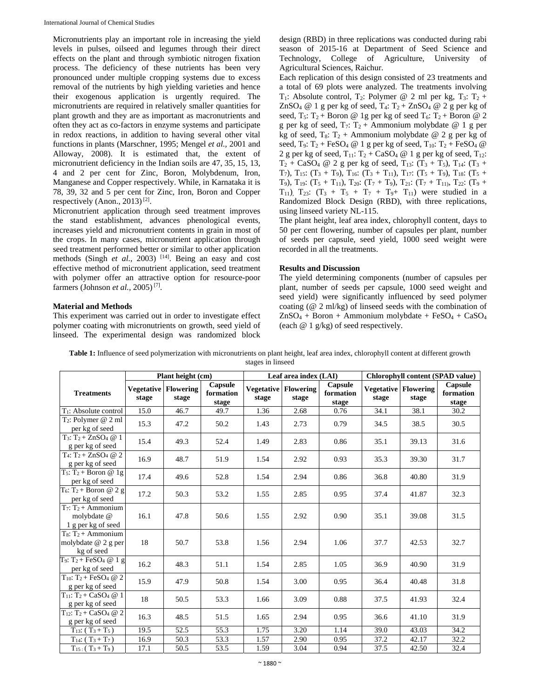Micronutrients play an important role in increasing the yield levels in pulses, oilseed and legumes through their direct effects on the plant and through symbiotic nitrogen fixation process. The deficiency of these nutrients has been very pronounced under multiple cropping systems due to excess removal of the nutrients by high yielding varieties and hence their exogenous application is urgently required. The micronutrients are required in relatively smaller quantities for plant growth and they are as important as macronutrients and often they act as co-factors in enzyme systems and participate in redox reactions, in addition to having several other vital functions in plants (Marschner, 1995; Mengel *et al.,* 2001 and Alloway, 2008). It is estimated that, the extent of micronutrient deficiency in the Indian soils are 47, 35, 15, 13, 4 and 2 per cent for Zinc, Boron, Molybdenum, Iron, Manganese and Copper respectively. While, in Karnataka it is 78, 39, 32 and 5 per cent for Zinc, Iron, Boron and Copper respectively (Anon., 2013) [2].

Micronutrient application through seed treatment improves the stand establishment, advances phenological events, increases yield and micronutrient contents in grain in most of the crops. In many cases, micronutrient application through seed treatment performed better or similar to other application methods (Singh *et al.*, 2003) <sup>[14]</sup>. Being an easy and cost effective method of micronutrient application, seed treatment with polymer offer an attractive option for resource-poor farmers (Johnson *et al.,* 2005) [7].

# **Material and Methods**

This experiment was carried out in order to investigate effect polymer coating with micronutrients on growth, seed yield of linseed. The experimental design was randomized block design (RBD) in three replications was conducted during rabi season of 2015-16 at Department of Seed Science and Technology, College of Agriculture, University of Agricultural Sciences, Raichur.

Each replication of this design consisted of 23 treatments and a total of 69 plots were analyzed. The treatments involving  $T_1$ : Absolute control,  $T_2$ : Polymer @ 2 ml per kg,  $T_3$ :  $T_2$  + ZnSO<sub>4</sub> @ 1 g per kg of seed,  $T_4$ :  $T_2 + ZnSO_4$  @ 2 g per kg of seed,  $T_5$ :  $T_2$  + Boron @ 1g per kg of seed  $T_6$ :  $T_2$  + Boron @ 2 g per kg of seed,  $T_7$ :  $T_2$  + Ammonium molybdate @ 1 g per kg of seed,  $T_8$ :  $T_2$  + Ammonium molybdate @ 2 g per kg of seed,  $T_9$ :  $T_2$  + FeSO<sub>4</sub> @ 1 g per kg of seed,  $T_{10}$ :  $T_2$  + FeSO<sub>4</sub> @ 2 g per kg of seed,  $T_{11}: T_2 + CaSO_4 \otimes 1$  g per kg of seed,  $T_{12}:$  $T_2$  + CaSO<sub>4</sub> @ 2 g per kg of seed,  $T_{13}$ :  $(T_3 + T_5)$ ,  $T_{14}$ :  $(T_3 +$ T<sub>7</sub>), T<sub>15</sub>: (T<sub>3</sub> + T<sub>9</sub>), T<sub>16</sub>: (T<sub>3</sub> + T<sub>11</sub>), T<sub>17</sub>: (T<sub>5</sub> + T<sub>9</sub>), T<sub>18</sub>: (T<sub>5</sub> + T<sub>9</sub>), T<sub>19</sub>:  $(T_5 + T_{11})$ , T<sub>20</sub>:  $(T_7 + T_9)$ , T<sub>21</sub>:  $(T_7 + T_{11})$ , T<sub>22</sub>:  $(T_9 +$ T<sub>11</sub>), T<sub>23</sub>:  $(T_3 + T_5 + T_7 + T_{9} + T_{11})$  were studied in a Randomized Block Design (RBD), with three replications, using linseed variety NL-115.

The plant height, leaf area index, chlorophyll content, days to 50 per cent flowering, number of capsules per plant, number of seeds per capsule, seed yield, 1000 seed weight were recorded in all the treatments.

# **Results and Discussion**

The yield determining components (number of capsules per plant, number of seeds per capsule, 1000 seed weight and seed yield) were significantly influenced by seed polymer coating (@ 2 ml/kg) of linseed seeds with the combination of  $ZnSO_4 + Boron + Ammonium molybdate + FeSO_4 + CaSO_4$ (each @ 1 g/kg) of seed respectively.

| Table 1: Influence of seed polymerization with micronutrients on plant height, leaf area index, chlorophyll content at different growth |  |
|-----------------------------------------------------------------------------------------------------------------------------------------|--|
| stages in linseed                                                                                                                       |  |

|                                                                       | Plant height (cm) |                                      |                               | Leaf area index (LAI) |                                      |                               | Chlorophyll content (SPAD value) |                                      |                               |
|-----------------------------------------------------------------------|-------------------|--------------------------------------|-------------------------------|-----------------------|--------------------------------------|-------------------------------|----------------------------------|--------------------------------------|-------------------------------|
| <b>Treatments</b>                                                     | stage             | <b>Vegetative Flowering</b><br>stage | Capsule<br>formation<br>stage | stage                 | <b>Vegetative Flowering</b><br>stage | Capsule<br>formation<br>stage | stage                            | <b>Vegetative Flowering</b><br>stage | Capsule<br>formation<br>stage |
| $T_1$ : Absolute control                                              | 15.0              | 46.7                                 | 49.7                          | 1.36                  | 2.68                                 | 0.76                          | 34.1                             | 38.1                                 | 30.2                          |
| $T_2$ : Polymer @ 2 ml<br>per kg of seed                              | 15.3              | 47.2                                 | 50.2                          | 1.43                  | 2.73                                 | 0.79                          | 34.5                             | 38.5                                 | 30.5                          |
| $T_3$ : $T_2 + ZnSO_4 \ @ 1$<br>g per kg of seed                      | 15.4              | 49.3                                 | 52.4                          | 1.49                  | 2.83                                 | 0.86                          | 35.1                             | 39.13                                | 31.6                          |
| $T_4$ : $T_2 + ZnSO_4 \ @ 2$<br>g per kg of seed                      | 16.9              | 48.7                                 | 51.9                          | 1.54                  | 2.92                                 | 0.93                          | 35.3                             | 39.30                                | 31.7                          |
| $T_5$ : $T_2$ + Boron @ 1g<br>per kg of seed                          | 17.4              | 49.6                                 | 52.8                          | 1.54                  | 2.94                                 | 0.86                          | 36.8                             | 40.80                                | 31.9                          |
| $T_6$ : T <sub>2</sub> + Boron @ 2 g<br>per kg of seed                | 17.2              | 50.3                                 | 53.2                          | 1.55                  | 2.85                                 | 0.95                          | 37.4                             | 41.87                                | 32.3                          |
| $T_7$ : $T_2$ + Ammonium<br>molybdate @<br>1 g per kg of seed         | 16.1              | 47.8                                 | 50.6                          | 1.55                  | 2.92                                 | 0.90                          | 35.1                             | 39.08                                | 31.5                          |
| $T_8$ : $T_2 +$ Ammonium<br>molybdate @ 2 g per<br>kg of seed         | 18                | 50.7                                 | 53.8                          | 1.56                  | 2.94                                 | 1.06                          | 37.7                             | 42.53                                | 32.7                          |
| $T_9$ : $T_2 + FeSO_4 \ @ 1 g$<br>per kg of seed                      | 16.2              | 48.3                                 | 51.1                          | 1.54                  | 2.85                                 | 1.05                          | 36.9                             | 40.90                                | 31.9                          |
| $T_{10}$ : T <sub>2</sub> + FeSO <sub>4</sub> @ 2<br>g per kg of seed | 15.9              | 47.9                                 | 50.8                          | 1.54                  | 3.00                                 | 0.95                          | 36.4                             | 40.48                                | 31.8                          |
| $T_{11}$ : T <sub>2</sub> + CaSO <sub>4</sub> @ 1<br>g per kg of seed | 18                | 50.5                                 | 53.3                          | 1.66                  | 3.09                                 | 0.88                          | 37.5                             | 41.93                                | 32.4                          |
| $T_{12}$ : T <sub>2</sub> + CaSO <sub>4</sub> @ 2<br>g per kg of seed | 16.3              | 48.5                                 | 51.5                          | 1.65                  | 2.94                                 | 0.95                          | 36.6                             | 41.10                                | 31.9                          |
| $T_{13}: (T_3 + T_5)$                                                 | 19.5              | 52.5                                 | 55.3                          | 1.75                  | 3.20                                 | 1.14                          | 39.0                             | 43.03                                | 34.2                          |
| $T_{14}: (T_3 + T_7)$                                                 | 16.9              | 50.3                                 | 53.3                          | 1.57                  | 2.90                                 | 0.95                          | 37.2                             | 42.17                                | 32.2                          |
| $T_{15}$ : (T <sub>3</sub> + T <sub>9</sub> )                         | 17.1              | 50.5                                 | 53.5                          | 1.59                  | 3.04                                 | 0.94                          | 37.5                             | 42.50                                | 32.4                          |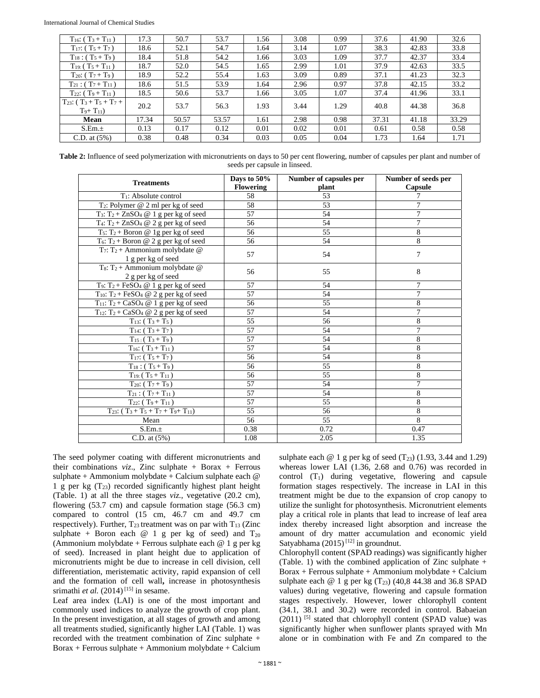| $T_{16}$ : (T <sub>3</sub> + T <sub>11</sub> ) | 17.3  | 50.7  | 53.7  | 1.56 | 3.08 | 0.99 | 37.6  | 41.90 | 32.6  |
|------------------------------------------------|-------|-------|-------|------|------|------|-------|-------|-------|
| $T_{17}$ : (T <sub>5</sub> + T <sub>7</sub> )  | 18.6  | 52.1  | 54.7  | 1.64 | 3.14 | 1.07 | 38.3  | 42.83 | 33.8  |
| $T_{18}$ : (T <sub>5</sub> + T <sub>9</sub> )  | 18.4  | 51.8  | 54.2  | 1.66 | 3.03 | 1.09 | 37.7  | 42.37 | 33.4  |
| $T_{19}$ : $(T_5 + T_{11})$                    | 18.7  | 52.0  | 54.5  | 1.65 | 2.99 | 1.01 | 37.9  | 42.63 | 33.5  |
| $T_{20}$ : $(T_7 + T_9)$                       | 18.9  | 52.2  | 55.4  | 1.63 | 3.09 | 0.89 | 37.1  | 41.23 | 32.3  |
| $T_{21}$ : (T <sub>7</sub> + T <sub>11</sub> ) | 18.6  | 51.5  | 53.9  | 1.64 | 2.96 | 0.97 | 37.8  | 42.15 | 33.2  |
| $T_{22}: (T_9 + T_{11})$                       | 18.5  | 50.6  | 53.7  | 1.66 | 3.05 | 1.07 | 37.4  | 41.96 | 33.1  |
| $T_{23}: (T_3 + T_5 + T_7 +$<br>$T_{9}+T_{11}$ | 20.2  | 53.7  | 56.3  | 1.93 | 3.44 | 1.29 | 40.8  | 44.38 | 36.8  |
| Mean                                           | 17.34 | 50.57 | 53.57 | 1.61 | 2.98 | 0.98 | 37.31 | 41.18 | 33.29 |
| S.Em.±                                         | 0.13  | 0.17  | 0.12  | 0.01 | 0.02 | 0.01 | 0.61  | 0.58  | 0.58  |
| $C.D.$ at $(5%)$                               | 0.38  | 0.48  | 0.34  | 0.03 | 0.05 | 0.04 | 1.73  | 1.64  | 1.71  |

Table 2: Influence of seed polymerization with micronutrients on days to 50 per cent flowering, number of capsules per plant and number of seeds per capsule in linseed.

| <b>Treatments</b>                                                         | Days to 50%<br><b>Flowering</b> | Number of capsules per<br>plant | Number of seeds per<br>Capsule |
|---------------------------------------------------------------------------|---------------------------------|---------------------------------|--------------------------------|
| $T_1$ : Absolute control                                                  | 58                              | 53                              | 7                              |
| $T_2$ : Polymer @ 2 ml per kg of seed                                     | 58                              | 53                              | 7                              |
| $T_3$ : $T_2 + ZnSO_4 \tQ 1$ g per kg of seed                             | 57                              | 54                              | $\overline{7}$                 |
| T <sub>4</sub> : T <sub>2</sub> + ZnSO <sub>4</sub> @ 2 g per kg of seed  | 56                              | 54                              | 7                              |
| $T_5$ : $T_2$ + Boron @ 1g per kg of seed                                 | 56                              | 55                              | 8                              |
| $T_6$ : $T_2$ + Boron @ 2 g per kg of seed                                | 56                              | 54                              | 8                              |
| T7: T <sub>2</sub> + Ammonium molybdate $@$<br>1 g per kg of seed         | 57                              | 54                              | $\overline{7}$                 |
| $T_8$ : T <sub>2</sub> + Ammonium molybdate @<br>2 g per kg of seed       | 56                              | 55                              | 8                              |
| T <sub>9</sub> : T <sub>2</sub> + FeSO <sub>4</sub> @ 1 g per kg of seed  | 57                              | 54                              | 7                              |
| T <sub>10</sub> : T <sub>2</sub> + FeSO <sub>4</sub> @ 2 g per kg of seed | 57                              | 54                              | 7                              |
| $T_{11}$ : T <sub>2</sub> + CaSO <sub>4</sub> @ 1 g per kg of seed        | 56                              | 55                              | 8                              |
| $T_{12}$ : T <sub>2</sub> + CaSO <sub>4</sub> @ 2 g per kg of seed        | 57                              | 54                              | 7                              |
| $T_{13}: (T_3 + T_5)$                                                     | 55                              | 56                              | 8                              |
| $T_{14}: (T_3+T_7)$                                                       | 57                              | 54                              | 7                              |
| $T_{15}$ : $(T_3 + T_9)$                                                  | 57                              | 54                              | 8                              |
| $T_{16}$ : (T <sub>3</sub> + T <sub>11</sub> )                            | 57                              | 54                              | 8                              |
| $T_{17}$ : (T <sub>5</sub> + T <sub>7</sub> )                             | 56                              | 54                              | 8                              |
| $T_{18}$ : (T <sub>5</sub> + T <sub>9</sub> )                             | 56                              | 55                              | 8                              |
| $T_{19}$ : $(T_5 + T_{11})$                                               | 56                              | 55                              | 8                              |
| $T_{20}$ : $(T_7 + T_9)$                                                  | 57                              | 54                              | $\overline{7}$                 |
| $T_{21}$ : $(T_7 + T_{11})$                                               | 57                              | 54                              | 8                              |
| $T_{22}$ : $(T_9 + T_{11})$                                               | 57                              | 55                              | 8                              |
| $T_{23}$ : $(T_3 + T_5 + T_7 + T_{9} + T_{11})$                           | 55                              | 56                              | 8                              |
| Mean                                                                      | 56                              | 55                              | 8                              |
| S.Em.±                                                                    | 0.38                            | 0.72                            | 0.47                           |
| $C.D.$ at $(5%)$                                                          | 1.08                            | 2.05                            | 1.35                           |

The seed polymer coating with different micronutrients and their combinations  $viz.$ , Zinc sulphate + Borax + Ferrous sulphate + Ammonium molybdate + Calcium sulphate each @ 1 g per kg  $(T_{23})$  recorded significantly highest plant height (Table. 1) at all the three stages *viz.,* vegetative (20.2 cm), flowering (53.7 cm) and capsule formation stage (56.3 cm) compared to control (15 cm, 46.7 cm and 49.7 cm respectively). Further,  $T_{23}$  treatment was on par with  $T_{13}$  (Zinc sulphate + Boron each  $@ 1 g$  per kg of seed) and  $T_{20}$ (Ammonium molybdate + Ferrous sulphate each  $@ 1 g$  per kg of seed). Increased in plant height due to application of micronutrients might be due to increase in cell division, cell differentiation, meristematic activity, rapid expansion of cell and the formation of cell wall**,** increase in photosynthesis srimathi *et al.*  $(2014)$ <sup>[15]</sup> in sesame.

Leaf area index (LAI) is one of the most important and commonly used indices to analyze the growth of crop plant. In the present investigation, at all stages of growth and among all treatments studied, significantly higher LAI (Table. 1) was recorded with the treatment combination of Zinc sulphate +  $Borax + Fervus$  sulphate  $+$  Ammonium molybdate  $+$  Calcium

sulphate each  $\omega$  1 g per kg of seed (T<sub>23</sub>) (1.93, 3.44 and 1.29) whereas lower LAI (1.36, 2.68 and 0.76) was recorded in control  $(T_1)$  during vegetative, flowering and capsule formation stages respectively. The increase in LAI in this treatment might be due to the expansion of crop canopy to utilize the sunlight for photosynthesis. Micronutrient elements play a critical role in plants that lead to increase of leaf area index thereby increased light absorption and increase the amount of dry matter accumulation and economic yield Satyabhama  $(2015)^{[12]}$  in groundnut.

Chlorophyll content (SPAD readings) was significantly higher (Table. 1) with the combined application of Zinc sulphate + Borax + Ferrous sulphate + Ammonium molybdate + Calcium sulphate each  $\omega$  1 g per kg (T<sub>23</sub>) (40,8 44.38 and 36.8 SPAD values) during vegetative, flowering and capsule formation stages respectively. However, lower chlorophyll content (34.1, 38.1 and 30.2) were recorded in control. Babaeian (2011) [5] stated that chlorophyll content (SPAD value) was significantly higher when sunflower plants sprayed with Mn alone or in combination with Fe and Zn compared to the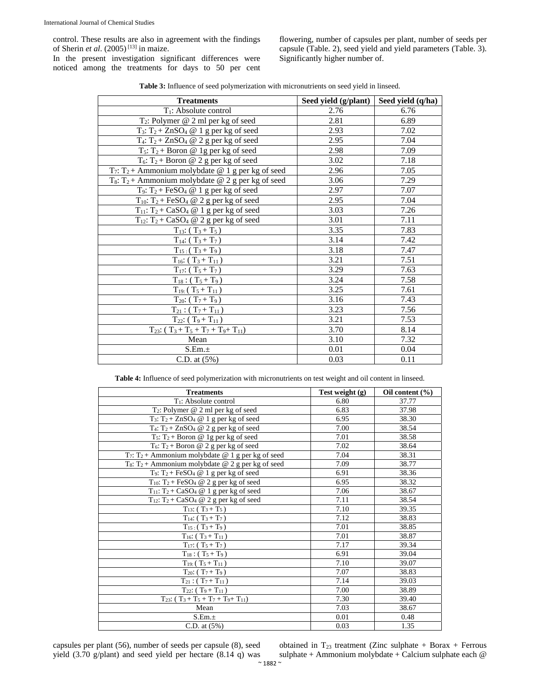control. These results are also in agreement with the findings of Sherin *et al*. (2005) [13] in maize.

In the present investigation significant differences were noticed among the treatments for days to 50 per cent flowering, number of capsules per plant, number of seeds per capsule (Table. 2), seed yield and yield parameters (Table. 3). Significantly higher number of.

|  |  | <b>Table 3:</b> Influence of seed polymerization with micronutrients on seed yield in linseed. |
|--|--|------------------------------------------------------------------------------------------------|
|--|--|------------------------------------------------------------------------------------------------|

| <b>Treatments</b>                                                         | Seed yield (g/plant) | Seed yield (q/ha) |
|---------------------------------------------------------------------------|----------------------|-------------------|
| $T_1$ : Absolute control                                                  | 2.76                 | 6.76              |
| $T_2$ : Polymer @ 2 ml per kg of seed                                     | 2.81                 | 6.89              |
| $T_3$ : $T_2$ + ZnSO <sub>4</sub> @ 1 g per kg of seed                    | 2.93                 | 7.02              |
| $T_4$ : $T_2$ + ZnSO <sub>4</sub> @ 2 g per kg of seed                    | 2.95                 | 7.04              |
| $T_5$ : $T_2$ + Boron @ 1g per kg of seed                                 | 2.98                 | 7.09              |
| $T_6$ : $T_2$ + Boron @ 2 g per kg of seed                                | 3.02                 | 7.18              |
| T <sub>7</sub> : T <sub>2</sub> + Ammonium molybdate @ 1 g per kg of seed | 2.96                 | 7.05              |
| $\overline{T_8: T_2}$ + Ammonium molybdate @ 2 g per kg of seed           | 3.06                 | 7.29              |
| $T_9$ : $T_2$ + FeSO <sub>4</sub> @ 1 g per kg of seed                    | 2.97                 | 7.07              |
| $T_{10}$ : T <sub>2</sub> + FeSO <sub>4</sub> @ 2 g per kg of seed        | 2.95                 | 7.04              |
| $T_{11}$ : T <sub>2</sub> + CaSO <sub>4</sub> @ 1 g per kg of seed        | 3.03                 | 7.26              |
| $T_{12}$ : T <sub>2</sub> + CaSO <sub>4</sub> @ 2 g per kg of seed        | 3.01                 | 7.11              |
| $T_{13}: (T_3 + T_5)$                                                     | 3.35                 | 7.83              |
| $T_{14}: (T_3 + T_7)$                                                     | 3.14                 | 7.42              |
| $T_{15}$ : $(T_3+T_9)$                                                    | 3.18                 | 7.47              |
| $T_{16}: (T_3 + T_{11})$                                                  | 3.21                 | 7.51              |
| $T_{17}$ : $(T_5 + T_7)$                                                  | 3.29                 | 7.63              |
| $T_{18}$ : (T <sub>5</sub> + T <sub>9</sub> )                             | 3.24                 | 7.58              |
| $T_{19}$ : $(T_5 + T_{11})$                                               | 3.25                 | 7.61              |
| $T_{20}$ : (T <sub>7</sub> + T <sub>9</sub> )                             | 3.16                 | 7.43              |
| $T_{21}$ : (T <sub>7</sub> + T <sub>11</sub> )                            | 3.23                 | 7.56              |
| $T_{22}$ : $(T_9 + T_{11})$                                               | 3.21                 | 7.53              |
| $T_{23}: (T_3+T_5+T_7+T_9+T_{11})$                                        | 3.70                 | 8.14              |
| Mean                                                                      | 3.10                 | 7.32              |
| S.Em.±                                                                    | 0.01                 | 0.04              |
| C.D. at $(5%)$                                                            | 0.03                 | 0.11              |

**Table 4:** Influence of seed polymerization with micronutrients on test weight and oil content in linseed.

| <b>Treatments</b>                                                         | Test weight (g) | Oil content $(\% )$ |
|---------------------------------------------------------------------------|-----------------|---------------------|
| $T_1$ : Absolute control                                                  | 6.80            | 37.77               |
| T <sub>2</sub> : Polymer @ 2 ml per kg of seed                            | 6.83            | 37.98               |
| T <sub>3</sub> : T <sub>2</sub> + ZnSO <sub>4</sub> @ 1 g per kg of seed  | 6.95            | 38.30               |
| T <sub>4</sub> : T <sub>2</sub> + ZnSO <sub>4</sub> @ 2 g per kg of seed  | 7.00            | 38.54               |
| $T_5$ : $T_2$ + Boron @ 1g per kg of seed                                 | 7.01            | 38.58               |
| $T_6$ : $T_2$ + Boron @ 2 g per kg of seed                                | 7.02            | 38.64               |
| $T_7$ : $T_2$ + Ammonium molybdate @ 1 g per kg of seed                   | 7.04            | 38.31               |
| T <sub>8</sub> : T <sub>2</sub> + Ammonium molybdate @ 2 g per kg of seed | 7.09            | 38.77               |
| T <sub>9</sub> : T <sub>2</sub> + FeSO <sub>4</sub> @ 1 g per kg of seed  | 6.91            | 38.36               |
| T <sub>10</sub> : T <sub>2</sub> + FeSO <sub>4</sub> @ 2 g per kg of seed | 6.95            | 38.32               |
| $T_{11}$ : T <sub>2</sub> + CaSO <sub>4</sub> @ 1 g per kg of seed        | 7.06            | 38.67               |
| $T_{12}$ : T <sub>2</sub> + CaSO <sub>4</sub> @ 2 g per kg of seed        | 7.11            | 38.54               |
| $T_{13}: (T_3 + T_5)$                                                     | 7.10            | 39.35               |
| $T_{14}: (T_3 + T_7)$                                                     | 7.12            | 38.83               |
| $T_{15}$ : $(T_3 + T_9)$                                                  | 7.01            | 38.85               |
| $T_{16}$ : $(T_3 + T_{11})$                                               | 7.01            | 38.87               |
| $T_{17}$ : (T <sub>5</sub> + T <sub>7</sub> )                             | 7.17            | 39.34               |
| $T_{18}$ : (T <sub>5</sub> + T <sub>9</sub> )                             | 6.91            | 39.04               |
| $T_{19}$ : $(T_5 + T_{11})$                                               | 7.10            | 39.07               |
| $T_{20}$ : $(T_7 + T_9)$                                                  | 7.07            | 38.83               |
| $T_{21}$ : (T <sub>7</sub> + T <sub>11</sub> )                            | 7.14            | 39.03               |
| $T_{22}$ : (T <sub>9</sub> + T <sub>11</sub> )                            | 7.00            | 38.89               |
| $T_{23}: (T_3+T_5+T_7+T_9+T_{11})$                                        | 7.30            | 39.40               |
| Mean                                                                      | 7.03            | 38.67               |
| S.Em.±                                                                    | 0.01            | 0.48                |
| $C.D.$ at $(5%)$                                                          | 0.03            | 1.35                |

capsules per plant (56), number of seeds per capsule (8), seed yield (3.70 g/plant) and seed yield per hectare (8.14 q) was obtained in  $T_{23}$  treatment (Zinc sulphate + Borax + Ferrous sulphate + Ammonium molybdate + Calcium sulphate each  $@$